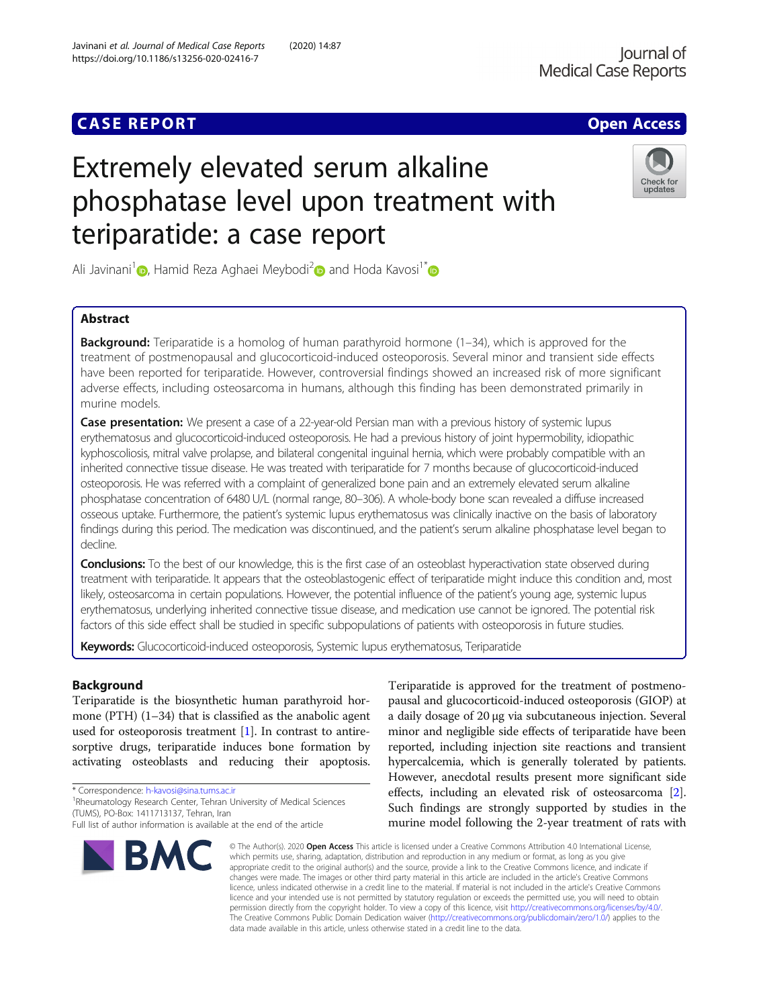## **CASE REPORT CASE REPORT** And the contract of the contract of the contract of the contract of the contract of the contract of the contract of the contract of the contract of the contract of the contract of the contract of

# Extremely elevated serum alkaline phosphatase level upon treatment with teriparatide: a case report



Ali Javinani<sup>1</sup> [,](https://orcid.org/0000-0003-4056-1585) Hamid Reza Aghaei Meybodi<sup>[2](https://orcid.org/0000-0003-1754-3450)</sup> and Hoda Kavosi<sup>1\*</sup>

### Abstract

**Background:** Teriparatide is a homolog of human parathyroid hormone (1–34), which is approved for the treatment of postmenopausal and glucocorticoid-induced osteoporosis. Several minor and transient side effects have been reported for teriparatide. However, controversial findings showed an increased risk of more significant adverse effects, including osteosarcoma in humans, although this finding has been demonstrated primarily in murine models.

Case presentation: We present a case of a 22-year-old Persian man with a previous history of systemic lupus erythematosus and glucocorticoid-induced osteoporosis. He had a previous history of joint hypermobility, idiopathic kyphoscoliosis, mitral valve prolapse, and bilateral congenital inguinal hernia, which were probably compatible with an inherited connective tissue disease. He was treated with teriparatide for 7 months because of glucocorticoid-induced osteoporosis. He was referred with a complaint of generalized bone pain and an extremely elevated serum alkaline phosphatase concentration of 6480 U/L (normal range, 80–306). A whole-body bone scan revealed a diffuse increased osseous uptake. Furthermore, the patient's systemic lupus erythematosus was clinically inactive on the basis of laboratory findings during this period. The medication was discontinued, and the patient's serum alkaline phosphatase level began to decline.

**Conclusions:** To the best of our knowledge, this is the first case of an osteoblast hyperactivation state observed during treatment with teriparatide. It appears that the osteoblastogenic effect of teriparatide might induce this condition and, most likely, osteosarcoma in certain populations. However, the potential influence of the patient's young age, systemic lupus erythematosus, underlying inherited connective tissue disease, and medication use cannot be ignored. The potential risk factors of this side effect shall be studied in specific subpopulations of patients with osteoporosis in future studies.

Keywords: Glucocorticoid-induced osteoporosis, Systemic lupus erythematosus, Teriparatide

### Background

Teriparatide is the biosynthetic human parathyroid hormone (PTH) (1–34) that is classified as the anabolic agent used for osteoporosis treatment [[1](#page-4-0)]. In contrast to antiresorptive drugs, teriparatide induces bone formation by activating osteoblasts and reducing their apoptosis.

\* Correspondence: [h-kavosi@sina.tums.ac.ir](mailto:h-kavosi@sina.tums.ac.ir) <sup>1</sup>

<sup>1</sup>Rheumatology Research Center, Tehran University of Medical Sciences (TUMS), PO-Box: 1411713137, Tehran, Iran

Full list of author information is available at the end of the article



Teriparatide is approved for the treatment of postmenopausal and glucocorticoid-induced osteoporosis (GIOP) at a daily dosage of 20 μg via subcutaneous injection. Several minor and negligible side effects of teriparatide have been reported, including injection site reactions and transient hypercalcemia, which is generally tolerated by patients. However, anecdotal results present more significant side effects, including an elevated risk of osteosarcoma [[2](#page-4-0)]. Such findings are strongly supported by studies in the murine model following the 2-year treatment of rats with

© The Author(s), 2020 **Open Access** This article is licensed under a Creative Commons Attribution 4.0 International License, which permits use, sharing, adaptation, distribution and reproduction in any medium or format, as long as you give appropriate credit to the original author(s) and the source, provide a link to the Creative Commons licence, and indicate if changes were made. The images or other third party material in this article are included in the article's Creative Commons licence, unless indicated otherwise in a credit line to the material. If material is not included in the article's Creative Commons licence and your intended use is not permitted by statutory regulation or exceeds the permitted use, you will need to obtain permission directly from the copyright holder. To view a copy of this licence, visit [http://creativecommons.org/licenses/by/4.0/.](http://creativecommons.org/licenses/by/4.0/) The Creative Commons Public Domain Dedication waiver [\(http://creativecommons.org/publicdomain/zero/1.0/](http://creativecommons.org/publicdomain/zero/1.0/)) applies to the data made available in this article, unless otherwise stated in a credit line to the data.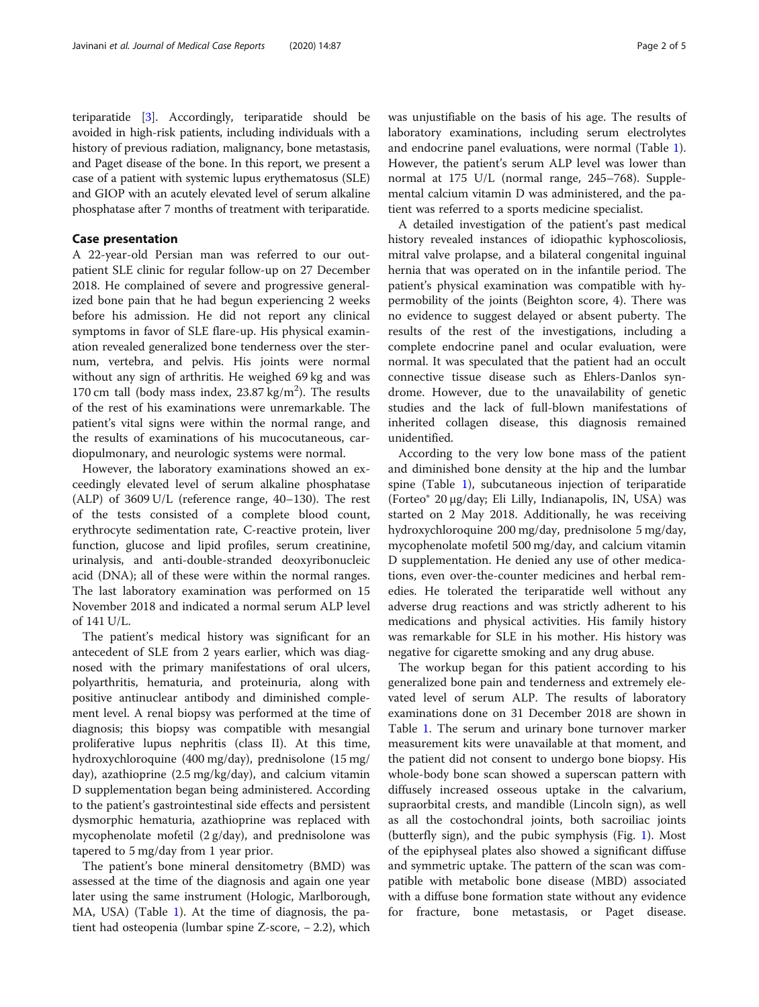teriparatide [\[3\]](#page-4-0). Accordingly, teriparatide should be avoided in high-risk patients, including individuals with a history of previous radiation, malignancy, bone metastasis, and Paget disease of the bone. In this report, we present a case of a patient with systemic lupus erythematosus (SLE) and GIOP with an acutely elevated level of serum alkaline phosphatase after 7 months of treatment with teriparatide.

#### Case presentation

A 22-year-old Persian man was referred to our outpatient SLE clinic for regular follow-up on 27 December 2018. He complained of severe and progressive generalized bone pain that he had begun experiencing 2 weeks before his admission. He did not report any clinical symptoms in favor of SLE flare-up. His physical examination revealed generalized bone tenderness over the sternum, vertebra, and pelvis. His joints were normal without any sign of arthritis. He weighed 69 kg and was 170 cm tall (body mass index,  $23.87 \text{ kg/m}^2$ ). The results of the rest of his examinations were unremarkable. The patient's vital signs were within the normal range, and the results of examinations of his mucocutaneous, cardiopulmonary, and neurologic systems were normal.

However, the laboratory examinations showed an exceedingly elevated level of serum alkaline phosphatase (ALP) of 3609 U/L (reference range, 40–130). The rest of the tests consisted of a complete blood count, erythrocyte sedimentation rate, C-reactive protein, liver function, glucose and lipid profiles, serum creatinine, urinalysis, and anti-double-stranded deoxyribonucleic acid (DNA); all of these were within the normal ranges. The last laboratory examination was performed on 15 November 2018 and indicated a normal serum ALP level of 141 U/L.

The patient's medical history was significant for an antecedent of SLE from 2 years earlier, which was diagnosed with the primary manifestations of oral ulcers, polyarthritis, hematuria, and proteinuria, along with positive antinuclear antibody and diminished complement level. A renal biopsy was performed at the time of diagnosis; this biopsy was compatible with mesangial proliferative lupus nephritis (class II). At this time, hydroxychloroquine (400 mg/day), prednisolone (15 mg/ day), azathioprine (2.5 mg/kg/day), and calcium vitamin D supplementation began being administered. According to the patient's gastrointestinal side effects and persistent dysmorphic hematuria, azathioprine was replaced with mycophenolate mofetil (2 g/day), and prednisolone was tapered to 5 mg/day from 1 year prior.

The patient's bone mineral densitometry (BMD) was assessed at the time of the diagnosis and again one year later using the same instrument (Hologic, Marlborough, MA, USA) (Table [1\)](#page-2-0). At the time of diagnosis, the patient had osteopenia (lumbar spine Z-score, − 2.2), which was unjustifiable on the basis of his age. The results of laboratory examinations, including serum electrolytes and endocrine panel evaluations, were normal (Table [1](#page-2-0)). However, the patient's serum ALP level was lower than normal at 175 U/L (normal range, 245–768). Supplemental calcium vitamin D was administered, and the patient was referred to a sports medicine specialist.

A detailed investigation of the patient's past medical history revealed instances of idiopathic kyphoscoliosis, mitral valve prolapse, and a bilateral congenital inguinal hernia that was operated on in the infantile period. The patient's physical examination was compatible with hypermobility of the joints (Beighton score, 4). There was no evidence to suggest delayed or absent puberty. The results of the rest of the investigations, including a complete endocrine panel and ocular evaluation, were normal. It was speculated that the patient had an occult connective tissue disease such as Ehlers-Danlos syndrome. However, due to the unavailability of genetic studies and the lack of full-blown manifestations of inherited collagen disease, this diagnosis remained unidentified.

According to the very low bone mass of the patient and diminished bone density at the hip and the lumbar spine (Table [1](#page-2-0)), subcutaneous injection of teriparatide (Forteo® 20 μg/day; Eli Lilly, Indianapolis, IN, USA) was started on 2 May 2018. Additionally, he was receiving hydroxychloroquine 200 mg/day, prednisolone 5 mg/day, mycophenolate mofetil 500 mg/day, and calcium vitamin D supplementation. He denied any use of other medications, even over-the-counter medicines and herbal remedies. He tolerated the teriparatide well without any adverse drug reactions and was strictly adherent to his medications and physical activities. His family history was remarkable for SLE in his mother. His history was negative for cigarette smoking and any drug abuse.

The workup began for this patient according to his generalized bone pain and tenderness and extremely elevated level of serum ALP. The results of laboratory examinations done on 31 December 2018 are shown in Table [1.](#page-2-0) The serum and urinary bone turnover marker measurement kits were unavailable at that moment, and the patient did not consent to undergo bone biopsy. His whole-body bone scan showed a superscan pattern with diffusely increased osseous uptake in the calvarium, supraorbital crests, and mandible (Lincoln sign), as well as all the costochondral joints, both sacroiliac joints (butterfly sign), and the pubic symphysis (Fig. [1\)](#page-2-0). Most of the epiphyseal plates also showed a significant diffuse and symmetric uptake. The pattern of the scan was compatible with metabolic bone disease (MBD) associated with a diffuse bone formation state without any evidence for fracture, bone metastasis, or Paget disease.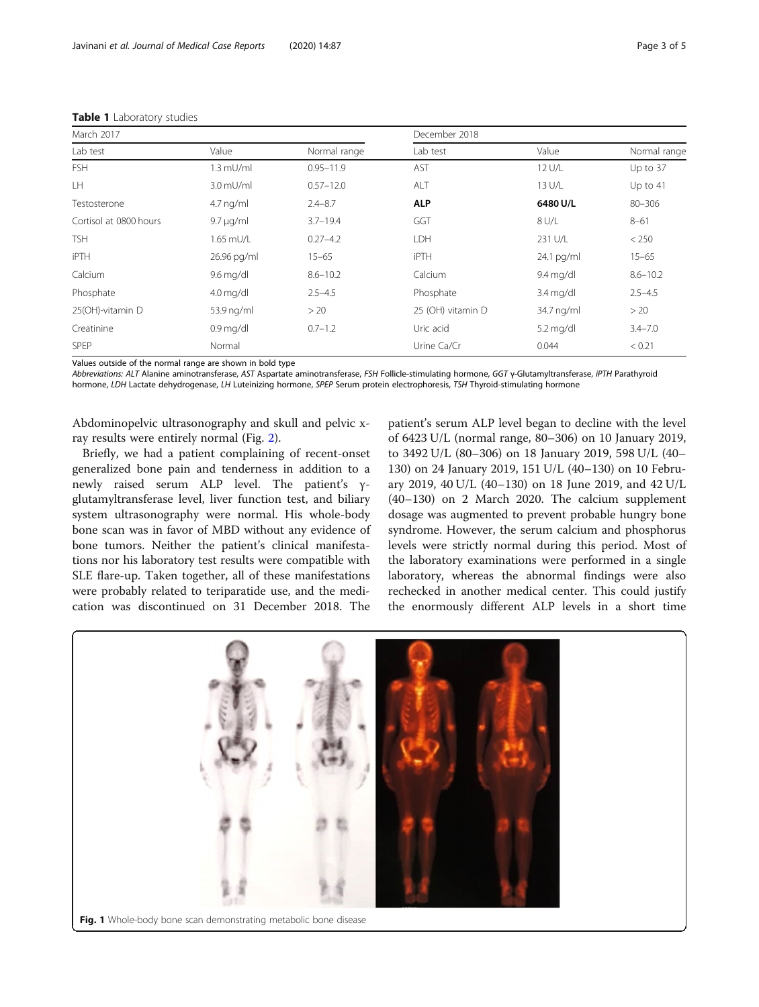| March 2017             |                |               | December 2018     |                     |              |  |
|------------------------|----------------|---------------|-------------------|---------------------|--------------|--|
| Lab test               | Value          | Normal range  | Lab test          | Value               | Normal range |  |
| <b>FSH</b>             | $1.3$ mU/ml    | $0.95 - 11.9$ | AST               | 12 U/L              | Up to 37     |  |
| LH                     | $3.0$ mU/ml    | $0.57 - 12.0$ | ALT               | 13 U/L              | Up to $41$   |  |
| Testosterone           | $4.7$ ng/ml    | $2.4 - 8.7$   | <b>ALP</b>        | 6480 U/L            | $80 - 306$   |  |
| Cortisol at 0800 hours | $9.7 \mu q/ml$ | $3.7 - 19.4$  | GGT               | 8 U/L               | $8 - 61$     |  |
| <b>TSH</b>             | 1.65 mU/L      | $0.27 - 4.2$  | LDH               | 231 U/L             | < 250        |  |
| <b>iPTH</b>            | 26.96 pg/ml    | $15 - 65$     | <b>iPTH</b>       | 24.1 pg/ml          | $15 - 65$    |  |
| Calcium                | 9.6 mg/dl      | $8.6 - 10.2$  | Calcium           | $9.4 \text{ mg/dl}$ | $8.6 - 10.2$ |  |
| Phosphate              | $4.0$ mg/dl    | $2.5 - 4.5$   | Phosphate         | $3.4$ mg/dl         | $2.5 - 4.5$  |  |
| 25(OH)-vitamin D       | 53.9 ng/ml     | > 20          | 25 (OH) vitamin D | 34.7 ng/ml          | >20          |  |
| Creatinine             | $0.9$ mg/dl    | $0.7 - 1.2$   | Uric acid         | $5.2 \text{ mg/dl}$ | $3.4 - 7.0$  |  |
| <b>SPEP</b>            | Normal         |               | Urine Ca/Cr       | 0.044               | < 0.21       |  |

#### <span id="page-2-0"></span>Table 1 Laboratory studies

Values outside of the normal range are shown in bold type

Abbreviations: ALT Alanine aminotransferase, AST Aspartate aminotransferase, FSH Follicle-stimulating hormone, GGT γ-Glutamyltransferase, iPTH Parathyroid hormone, LDH Lactate dehydrogenase, LH Luteinizing hormone, SPEP Serum protein electrophoresis, TSH Thyroid-stimulating hormone

Abdominopelvic ultrasonography and skull and pelvic xray results were entirely normal (Fig. [2](#page-3-0)).

Briefly, we had a patient complaining of recent-onset generalized bone pain and tenderness in addition to a newly raised serum ALP level. The patient's γglutamyltransferase level, liver function test, and biliary system ultrasonography were normal. His whole-body bone scan was in favor of MBD without any evidence of bone tumors. Neither the patient's clinical manifestations nor his laboratory test results were compatible with SLE flare-up. Taken together, all of these manifestations were probably related to teriparatide use, and the medication was discontinued on 31 December 2018. The

patient's serum ALP level began to decline with the level of 6423 U/L (normal range, 80–306) on 10 January 2019, to 3492 U/L (80–306) on 18 January 2019, 598 U/L (40– 130) on 24 January 2019, 151 U/L (40–130) on 10 February 2019, 40 U/L (40–130) on 18 June 2019, and 42 U/L (40–130) on 2 March 2020. The calcium supplement dosage was augmented to prevent probable hungry bone syndrome. However, the serum calcium and phosphorus levels were strictly normal during this period. Most of the laboratory examinations were performed in a single laboratory, whereas the abnormal findings were also rechecked in another medical center. This could justify the enormously different ALP levels in a short time

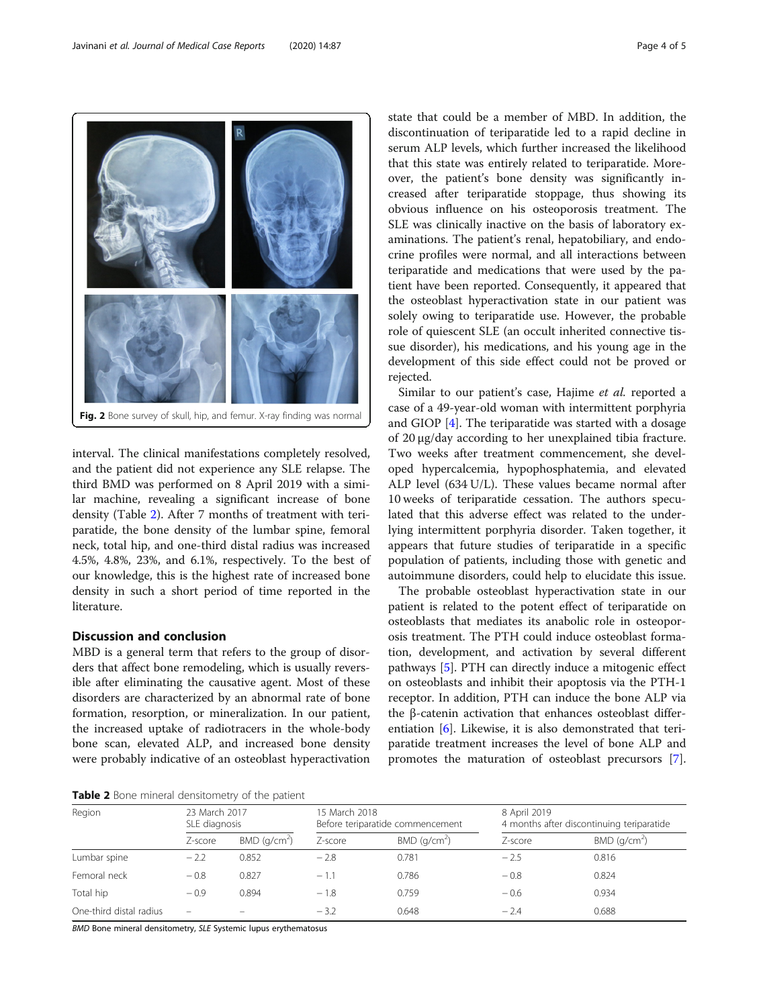interval. The clinical manifestations completely resolved, and the patient did not experience any SLE relapse. The third BMD was performed on 8 April 2019 with a similar machine, revealing a significant increase of bone density (Table 2). After 7 months of treatment with teriparatide, the bone density of the lumbar spine, femoral neck, total hip, and one-third distal radius was increased 4.5%, 4.8%, 23%, and 6.1%, respectively. To the best of our knowledge, this is the highest rate of increased bone density in such a short period of time reported in the literature.

#### Discussion and conclusion

MBD is a general term that refers to the group of disorders that affect bone remodeling, which is usually reversible after eliminating the causative agent. Most of these disorders are characterized by an abnormal rate of bone formation, resorption, or mineralization. In our patient, the increased uptake of radiotracers in the whole-body bone scan, elevated ALP, and increased bone density were probably indicative of an osteoblast hyperactivation state that could be a member of MBD. In addition, the discontinuation of teriparatide led to a rapid decline in serum ALP levels, which further increased the likelihood that this state was entirely related to teriparatide. Moreover, the patient's bone density was significantly increased after teriparatide stoppage, thus showing its obvious influence on his osteoporosis treatment. The SLE was clinically inactive on the basis of laboratory examinations. The patient's renal, hepatobiliary, and endocrine profiles were normal, and all interactions between teriparatide and medications that were used by the patient have been reported. Consequently, it appeared that the osteoblast hyperactivation state in our patient was solely owing to teriparatide use. However, the probable role of quiescent SLE (an occult inherited connective tissue disorder), his medications, and his young age in the development of this side effect could not be proved or rejected.

Similar to our patient's case, Hajime et al. reported a case of a 49-year-old woman with intermittent porphyria and GIOP [\[4](#page-4-0)]. The teriparatide was started with a dosage of 20 μg/day according to her unexplained tibia fracture. Two weeks after treatment commencement, she developed hypercalcemia, hypophosphatemia, and elevated ALP level (634 U/L). These values became normal after 10 weeks of teriparatide cessation. The authors speculated that this adverse effect was related to the underlying intermittent porphyria disorder. Taken together, it appears that future studies of teriparatide in a specific population of patients, including those with genetic and autoimmune disorders, could help to elucidate this issue.

The probable osteoblast hyperactivation state in our patient is related to the potent effect of teriparatide on osteoblasts that mediates its anabolic role in osteoporosis treatment. The PTH could induce osteoblast formation, development, and activation by several different pathways [\[5](#page-4-0)]. PTH can directly induce a mitogenic effect on osteoblasts and inhibit their apoptosis via the PTH-1 receptor. In addition, PTH can induce the bone ALP via the β-catenin activation that enhances osteoblast differentiation [[6\]](#page-4-0). Likewise, it is also demonstrated that teriparatide treatment increases the level of bone ALP and promotes the maturation of osteoblast precursors [\[7](#page-4-0)].



| Region                  | 23 March 2017<br>SLE diagnosis |                          | 15 March 2018<br>Before teriparatide commencement |                          | 8 April 2019 | 4 months after discontinuing teriparatide |  |
|-------------------------|--------------------------------|--------------------------|---------------------------------------------------|--------------------------|--------------|-------------------------------------------|--|
|                         | Z-score                        | BMD (q/cm <sup>2</sup> ) | Z-score                                           | BMD (q/cm <sup>2</sup> ) | Z-score      | BMD (q/cm <sup>2</sup> )                  |  |
| Lumbar spine            | $-2.2$                         | 0.852                    | $-2.8$                                            | 0.781                    | $-2.5$       | 0.816                                     |  |
| Femoral neck            | $-0.8$                         | 0.827                    | $-1.1$                                            | 0.786                    | $-0.8$       | 0.824                                     |  |
| Total hip               | $-0.9$                         | 0.894                    | $-1.8$                                            | 0.759                    | $-0.6$       | 0.934                                     |  |
| One-third distal radius | $\overline{\phantom{0}}$       | $\overline{\phantom{0}}$ | $-3.2$                                            | 0.648                    | $-2.4$       | 0.688                                     |  |

BMD Bone mineral densitometry, SLE Systemic lupus erythematosus

<span id="page-3-0"></span>